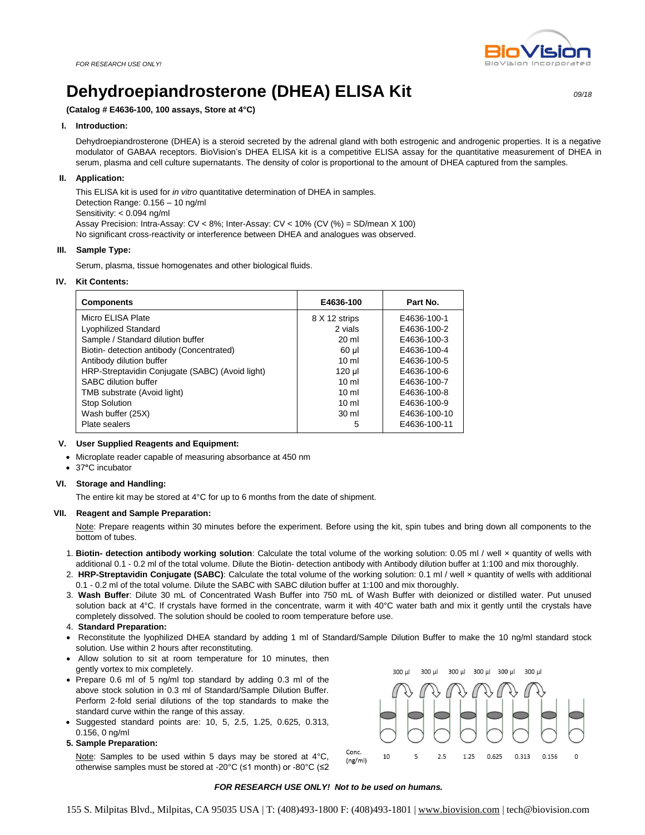# **Dehydroepiandrosterone (DHEA) ELISA Kit** *09/18*

**(Catalog # E4636-100, 100 assays, Store at 4°C)** 

#### **I. Introduction:**

Dehydroepiandrosterone (DHEA) is a steroid secreted by the adrenal gland with both estrogenic and androgenic properties. It is a negative modulator of GABAA receptors. BioVision's DHEA ELISA kit is a competitive ELISA assay for the quantitative measurement of DHEA in serum, plasma and cell culture supernatants. The density of color is proportional to the amount of DHEA captured from the samples.

#### **II. Application:**

This ELISA kit is used for *in vitro* quantitative determination of DHEA in samples. Detection Range: 0.156 – 10 ng/ml Sensitivity: < 0.094 ng/ml Assay Precision: Intra-Assay: CV < 8%; Inter-Assay: CV < 10% (CV (%) = SD/mean X 100) No significant cross-reactivity or interference between DHEA and analogues was observed.

#### **III. Sample Type:**

Serum, plasma, tissue homogenates and other biological fluids.

#### **IV. Kit Contents:**

| <b>Components</b>                               | E4636-100        | Part No.     |
|-------------------------------------------------|------------------|--------------|
| Micro ELISA Plate                               | 8 X 12 strips    | E4636-100-1  |
| Lyophilized Standard                            | 2 vials          | E4636-100-2  |
| Sample / Standard dilution buffer               | $20 \mathrm{ml}$ | E4636-100-3  |
| Biotin- detection antibody (Concentrated)       | 60 µl            | E4636-100-4  |
| Antibody dilution buffer                        | $10 \mathrm{m}$  | E4636-100-5  |
| HRP-Streptavidin Conjugate (SABC) (Avoid light) | 120 µl           | E4636-100-6  |
| SABC dilution buffer                            | 10 <sub>m</sub>  | E4636-100-7  |
| TMB substrate (Avoid light)                     | $10 \mathrm{m}$  | E4636-100-8  |
| <b>Stop Solution</b>                            | $10 \mathrm{m}$  | E4636-100-9  |
| Wash buffer (25X)                               | 30 <sub>ml</sub> | E4636-100-10 |
| Plate sealers                                   | 5                | E4636-100-11 |

## **V. User Supplied Reagents and Equipment:**

- Microplate reader capable of measuring absorbance at 450 nm
- 37**°**C incubator

## **VI. Storage and Handling:**

The entire kit may be stored at 4°C for up to 6 months from the date of shipment.

## **VII. Reagent and Sample Preparation:**

Note: Prepare reagents within 30 minutes before the experiment. Before using the kit, spin tubes and bring down all components to the bottom of tubes.

- 1. **Biotin- detection antibody working solution**: Calculate the total volume of the working solution: 0.05 ml / well × quantity of wells with additional 0.1 - 0.2 ml of the total volume. Dilute the Biotin- detection antibody with Antibody dilution buffer at 1:100 and mix thoroughly.
- 2. HRP-Streptavidin Conjugate (SABC): Calculate the total volume of the working solution: 0.1 ml / well x quantity of wells with additional 0.1 - 0.2 ml of the total volume. Dilute the SABC with SABC dilution buffer at 1:100 and mix thoroughly.
- 3. **Wash Buffer**: Dilute 30 mL of Concentrated Wash Buffer into 750 mL of Wash Buffer with deionized or distilled water. Put unused solution back at 4°C. If crystals have formed in the concentrate, warm it with 40°C water bath and mix it gently until the crystals have completely dissolved. The solution should be cooled to room temperature before use.
- 4. **Standard Preparation:**
- Reconstitute the lyophilized DHEA standard by adding 1 ml of Standard/Sample Dilution Buffer to make the 10 ng/ml standard stock solution. Use within 2 hours after reconstituting.
- Allow solution to sit at room temperature for 10 minutes, then gently vortex to mix completely.
- Prepare 0.6 ml of 5 ng/ml top standard by adding 0.3 ml of the above stock solution in 0.3 ml of Standard/Sample Dilution Buffer. Perform 2-fold serial dilutions of the top standards to make the standard curve within the range of this assay.
- Suggested standard points are: 10, 5, 2.5, 1.25, 0.625, 0.313, 0.156, 0 ng/ml

## **5. Sample Preparation:**

Note: Samples to be used within 5 days may be stored at 4°C, otherwise samples must be stored at -20°C (≤1 month) or -80°C (≤2



## *FOR RESEARCH USE ONLY! Not to be used on humans.*

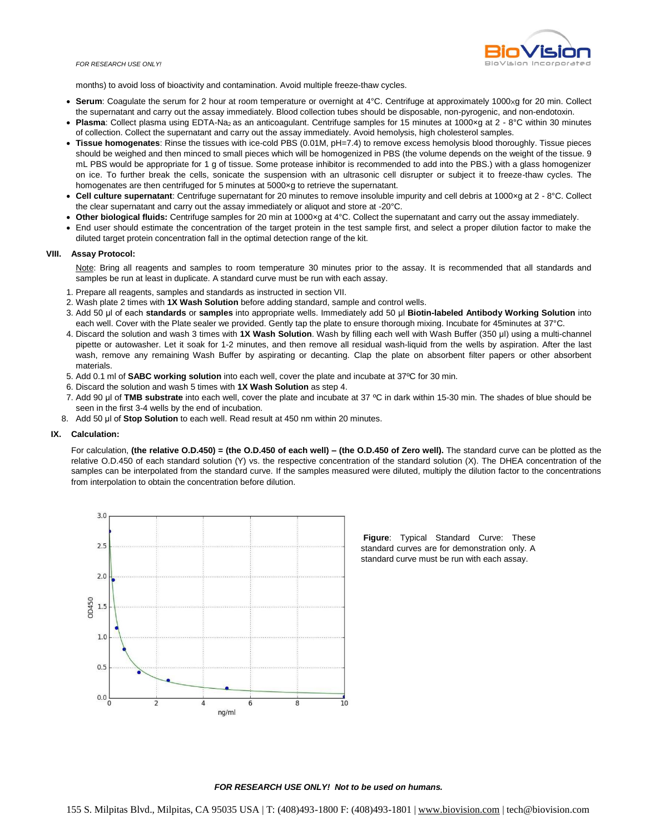

*FOR RESEARCH USE ONLY!*

months) to avoid loss of bioactivity and contamination. Avoid multiple freeze-thaw cycles.

- **Serum**: Coagulate the serum for 2 hour at room temperature or overnight at 4°C. Centrifuge at approximately 1000×g for 20 min. Collect the supernatant and carry out the assay immediately. Blood collection tubes should be disposable, non-pyrogenic, and non-endotoxin.
- **Plasma**: Collect plasma using EDTA-Na<sub>2</sub> as an anticoagulant. Centrifuge samples for 15 minutes at 1000xg at 2 8°C within 30 minutes of collection. Collect the supernatant and carry out the assay immediately. Avoid hemolysis, high cholesterol samples.
- **Tissue homogenates**: Rinse the tissues with ice-cold PBS (0.01M, pH=7.4) to remove excess hemolysis blood thoroughly. Tissue pieces should be weighed and then minced to small pieces which will be homogenized in PBS (the volume depends on the weight of the tissue. 9 mL PBS would be appropriate for 1 g of tissue. Some protease inhibitor is recommended to add into the PBS.) with a glass homogenizer on ice. To further break the cells, sonicate the suspension with an ultrasonic cell disrupter or subject it to freeze-thaw cycles. The homogenates are then centrifuged for 5 minutes at 5000xg to retrieve the supernatant.
- **Cell culture supernatant**: Centrifuge supernatant for 20 minutes to remove insoluble impurity and cell debris at 1000×g at 2 8°C. Collect the clear supernatant and carry out the assay immediately or aliquot and store at -20°C.
- **Other biological fluids:** Centrifuge samples for 20 min at 1000×g at 4°C. Collect the supernatant and carry out the assay immediately.
- End user should estimate the concentration of the target protein in the test sample first, and select a proper dilution factor to make the diluted target protein concentration fall in the optimal detection range of the kit.

#### **VIII. Assay Protocol:**

Note: Bring all reagents and samples to room temperature 30 minutes prior to the assay. It is recommended that all standards and samples be run at least in duplicate. A standard curve must be run with each assay.

- 1. Prepare all reagents, samples and standards as instructed in section VII.
- 2. Wash plate 2 times with **1X Wash Solution** before adding standard, sample and control wells.
- 3. Add 50 μl of each **standards** or **samples** into appropriate wells. Immediately add 50 μl **Biotin-labeled Antibody Working Solution** into each well. Cover with the Plate sealer we provided. Gently tap the plate to ensure thorough mixing. Incubate for 45minutes at 37°C.
- 4. Discard the solution and wash 3 times with **1X Wash Solution**. Wash by filling each well with Wash Buffer (350 μl) using a multi-channel pipette or autowasher. Let it soak for 1-2 minutes, and then remove all residual wash-liquid from the wells by aspiration. After the last wash, remove any remaining Wash Buffer by aspirating or decanting. Clap the plate on absorbent filter papers or other absorbent materials.
- 5. Add 0.1 ml of **SABC working solution** into each well, cover the plate and incubate at 37ºC for 30 min.
- 6. Discard the solution and wash 5 times with **1X Wash Solution** as step 4.
- 7. Add 90 μl of **TMB substrate** into each well, cover the plate and incubate at 37 ºC in dark within 15-30 min. The shades of blue should be seen in the first 3-4 wells by the end of incubation.
- 8. Add 50 μl of **Stop Solution** to each well. Read result at 450 nm within 20 minutes.

#### **IX. Calculation:**

For calculation, **(the relative O.D.450) = (the O.D.450 of each well) – (the O.D.450 of Zero well).** The standard curve can be plotted as the relative O.D.450 of each standard solution (Y) vs. the respective concentration of the standard solution (X). The DHEA concentration of the samples can be interpolated from the standard curve. If the samples measured were diluted, multiply the dilution factor to the concentrations from interpolation to obtain the concentration before dilution.



**Figure**: Typical Standard Curve: These standard curves are for demonstration only. A standard curve must be run with each assay.